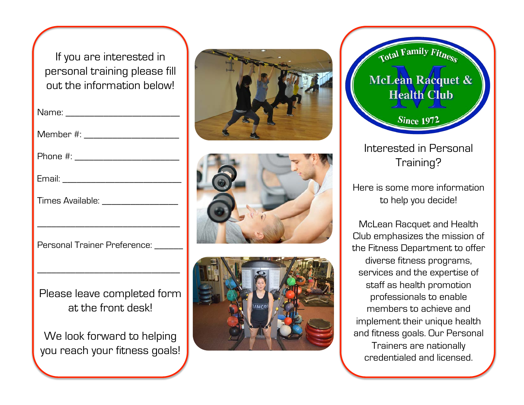If you are interested in personal training please fill out the information below!

| Name: ________                                              |
|-------------------------------------------------------------|
| Member #: ____________________                              |
| Phone #: ____________________                               |
|                                                             |
| Times Available: __________________                         |
|                                                             |
| Personal Trainer Preference: ______                         |
|                                                             |
| Please leave completed form<br>at the front desk!           |
| We look forward to helping<br>you reach your fitness goals! |









Interested in Personal Training?

Here is some more information to help you decide!

McLean Racquet and Health Club emphasizes the mission of the Fitness Department to offer diverse fitness programs, services and the expertise of staff as health promotion professionals to enable members to achieve and implement their unique health and fitness goals. Our Personal Trainers are nationally credentialed and licensed.